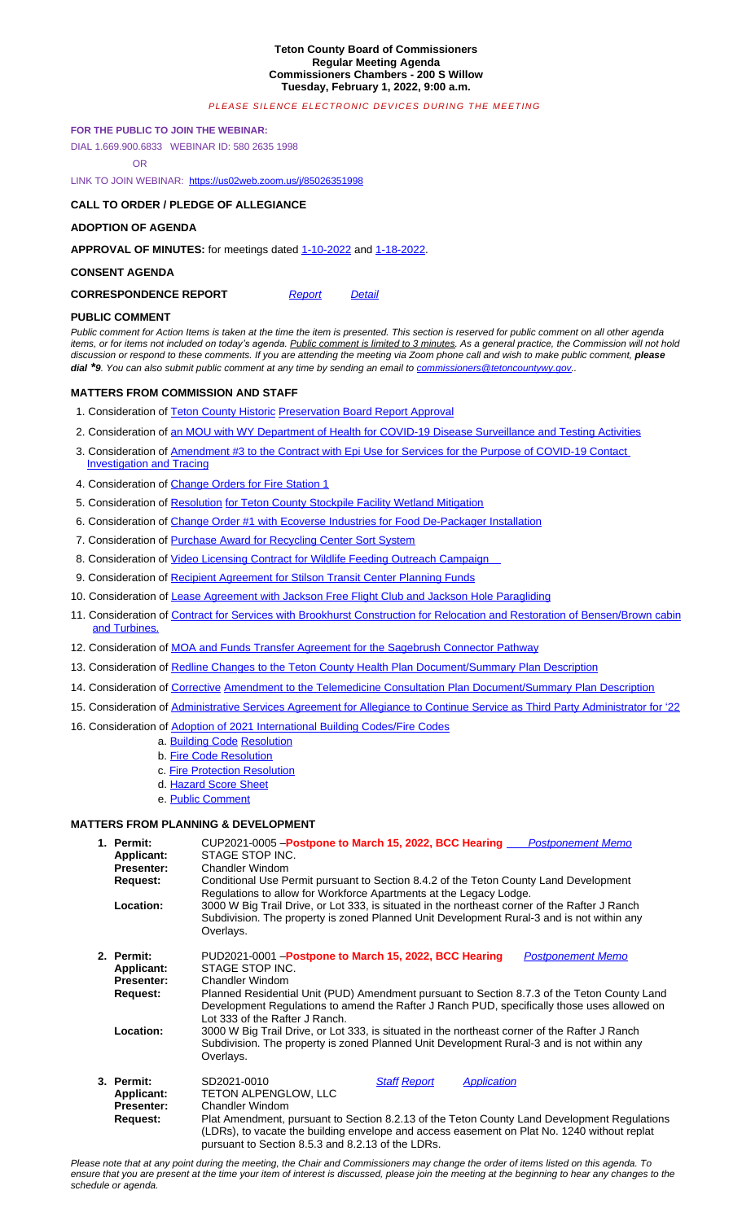#### **CONSENT AGENDA**

# **CORRESPONDENCE REPORT** Report *Report* Detail

### **PUBLIC COMMENT**

*Public comment for Action Items is taken at the time the item is presented. This section is reserved for public comment on all other agenda*  items, or for items not included on today's agenda. Public comment is limited to 3 minutes. As a general practice, the Commission will not hold discussion or respond to these comments. If you are attending the meeting via Zoom phone call and wish to make public comment, *please* **dial**<sup>\*</sup>**9***. You can also submit public comment at any time by sending an email to commissioners@tetoncountywy.gov..* 

## **MATTERS FROM COMMISSION AND STAFF**

- 1. Consideration of Teton County Historic Preservation Board Report Approval
- 2. Consideration of an MOU with WY Department of Health for COVID-19 Disease Surveillance and Testing Activities
- 3. Consideration of Am[endment #3 to the Contract with Epi U](https://us02web.zoom.us/j/85026351998)se for Services for the Purpose of COVID-19 Contact Investigation and Tracing
- 4. Consideration of Change Orders for Fire Station 1
- 5. Consideration of Resolution for Teton Count[y Stockpile](https://tetoncountywy.gov/DocumentCenter/View/21023/01-10-22-V-Mins) Fac[ility Wetlan](https://tetoncountywy.gov/DocumentCenter/View/21024/01-18-22-R-Mins)d Mitigation
- 6. Consideration of Change Order #1 with Ecoverse Industries for Food De-Packager Installation
- 7. Consideration of Purchase Award for Recycling Center Sort System
- 8. Consideration of Video Licensing Contra[ct for Wi](https://www.tetoncountywy.gov/DocumentCenter/View/21026/0201-CorrespondenceReport)ldlife [Feedin](https://www.tetoncountywy.gov/DocumentCenter/View/21025/0201-Correspondence-Detail)g Outreach Campaign
- 9. Consideration of Recipient Agreement for Stilson Transit Center Planning Funds
- 10. Consideration of Lease Agreement with Jackson Free Flight Club and Jackson Hole Paragliding
- 11. Consideration of Contract for Services with Brookhurst Construction for Relocation and Restoration of Bensen/Brown cabin and Turbines.
- 12. Consideration of MOA and Funds Transfer Agreement for the Sagebrush Connector Pathway
- 13. Consideration of [Redline Changes to the Teton County Health Plan Docume](https://www.tetoncountywy.gov/DocumentCenter/View/21027/02011-Historic-Preservation-Board-Annual-Report-Approval)nt/Summary Plan Description
- [14. Consideration of](https://www.tetoncountywy.gov/DocumentCenter/View/21027/02011-Historic-Preservation-Board-Annual-Report-Approval) [Corrective](https://tetoncountywy.gov/DocumentCenter/View/21028/02012-MOU-for-COVID-19-Surveillance-and-Testing-Activities) [Amendment to the Telemedicine Consultation Plan Document/Summary Plan Descripti](https://tetoncountywy.gov/DocumentCenter/View/21028/02012-MOU-for-COVID-19-Surveillance-and-Testing-Activities)on
- [15. Consideration of](https://tetoncountywy.gov/DocumentCenter/View/21028/02012-MOU-for-COVID-19-Surveillance-and-Testing-Activities) [Administrative Services Agreement for Allegiance to Continue Service as Third Party Administra](https://tetoncountywy.gov/DocumentCenter/View/21029/02013-Epi-Use-Contract-Amendment-3)tor for '22
- 16. [Consideration of Adoption](https://tetoncountywy.gov/DocumentCenter/View/21029/02013-Epi-Use-Contract-Amendment-3) of 2021 International Building Codes/Fire Codes
	- [a.](https://tetoncountywy.gov/DocumentCenter/View/21029/02013-Epi-Use-Contract-Amendment-3) [Building Co](https://tetoncountywy.gov/DocumentCenter/View/21030/02014-Station-1-Construction-Change-Orders-45-50-53-54)de [Resolution](https://tetoncountywy.gov/DocumentCenter/View/21030/02014-Station-1-Construction-Change-Orders-45-50-53-54)
	- b. Fire Code Resolution
	- c. [Fire Protection Resolution](https://tetoncountywy.gov/DocumentCenter/View/21031/02015-Stockpile-Facility-Wetland-mitigation)
	- [d.](https://tetoncountywy.gov/DocumentCenter/View/21031/02015-Stockpile-Facility-Wetland-mitigation) [Hazard Score Sheet](https://tetoncountywy.gov/DocumentCenter/View/21032/02016-Food-De-Packager-Installation-Change-Order-1)
	- [e.](https://tetoncountywy.gov/DocumentCenter/View/21032/02016-Food-De-Packager-Installation-Change-Order-1) [Public Comment](https://www.tetoncountywy.gov/DocumentCenter/View/21074/02017-Purchase-Agreement-for-Recycling-Center-Sort-System)

### **MATTERS FROM PLANNING & [DEVELOPMENT](https://www.tetoncountywy.gov/DocumentCenter/View/21075/02018-Video-Licensing-contract-for-Wildlife-Feeding-Outreach-Campaign)**

| 1. Permit:<br>Applicant:<br><b>Presenter:</b><br>Request:<br>Location:        | CUP2021-0005 - Postpone to March 15, 2022, BCC Hearing <i>____ Postponement Memo</i><br>STAGE STOP INC.<br>Chandler Windom<br>Conditional Use Permit pursuant to Section 8.4.2 of the Teton County Land Development<br>Regulations to allow for Workforce Apartments at the Legacy Lodge.<br>3000 W Big Trail Drive, or Lot 333, is situated in the northeast corner of the Rafter J Ranch<br>Subdivision. The property is zoned Planned Unit Development Rural-3 and is not within any<br>Overlays.                                                                |
|-------------------------------------------------------------------------------|---------------------------------------------------------------------------------------------------------------------------------------------------------------------------------------------------------------------------------------------------------------------------------------------------------------------------------------------------------------------------------------------------------------------------------------------------------------------------------------------------------------------------------------------------------------------|
| 2. Permit:<br><b>Applicant:</b><br><b>Presenter:</b><br>Request:<br>Location: | PUD2021-0001 - Postpone to March 15, 2022, BCC Hearing<br><b>Postponement Memo</b><br>STAGE STOP INC.<br>Chandler Windom<br>Planned Residential Unit (PUD) Amendment pursuant to Section 8.7.3 of the Teton County Land<br>Development Regulations to amend the Rafter J Ranch PUD, specifically those uses allowed on<br>Lot 333 of the Rafter J Ranch.<br>3000 W Big Trail Drive, or Lot 333, is situated in the northeast corner of the Rafter J Ranch<br>Subdivision. The property is zoned Planned Unit Development Rural-3 and is not within any<br>Overlays. |
| 3. Permit:<br>Applicant:<br><b>Presenter:</b><br>Request:                     | SD2021-0010<br><b>Staff Report</b><br><b>Application</b><br><b>TETON ALPENGLOW, LLC</b><br>Chandler Windom<br>Plat Amendment, pursuant to Section 8.2.13 of the Teton County Land Development Regulations<br>(LDRs), to vacate the building envelope and access easement on Plat No. 1240 without replat<br>pursuant to Section 8.5.3 and 8.2.13 of the LDRs.                                                                                                                                                                                                       |

*Please note that at any point during the meeting, the Chair and Commissioners may change the order of items listed on this agenda. To ensure that you are present at the time your item of interest is discussed, please join the meeting at the beginning to hear any changes to the schedule or agenda.*